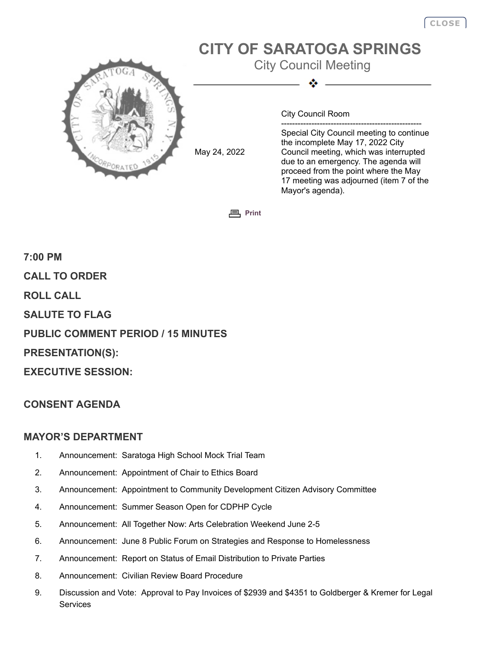# **CITY OF SARATOGA SPRINGS**

City Council Meeting



May 24, 2022

City Council Room

--------------------------------------------------- Special City Council meeting to continue the incomplete May 17, 2022 City Council meeting, which was interrupted due to an emergency. The agenda will proceed from the point where the May 17 meeting was adjourned (item 7 of the Mayor's agenda).

**[Print](javascript:history.go(0);)**

**7:00 PM CALL TO ORDER ROLL CALL SALUTE TO FLAG PUBLIC COMMENT PERIOD / 15 MINUTES PRESENTATION(S): EXECUTIVE SESSION:**

# **CONSENT AGENDA**

## **MAYOR'S DEPARTMENT**

- 1. Announcement: Saratoga High School Mock Trial Team
- 2. Announcement: Appointment of Chair to Ethics Board
- 3. Announcement: Appointment to Community Development Citizen Advisory Committee
- 4. Announcement: Summer Season Open for CDPHP Cycle
- 5. Announcement: All Together Now: Arts Celebration Weekend June 2-5
- 6. Announcement: June 8 Public Forum on Strategies and Response to Homelessness
- 7. Announcement: Report on Status of Email Distribution to Private Parties
- 8. Announcement: Civilian Review Board Procedure
- 9. Discussion and Vote: Approval to Pay Invoices of \$2939 and \$4351 to Goldberger & Kremer for Legal **Services**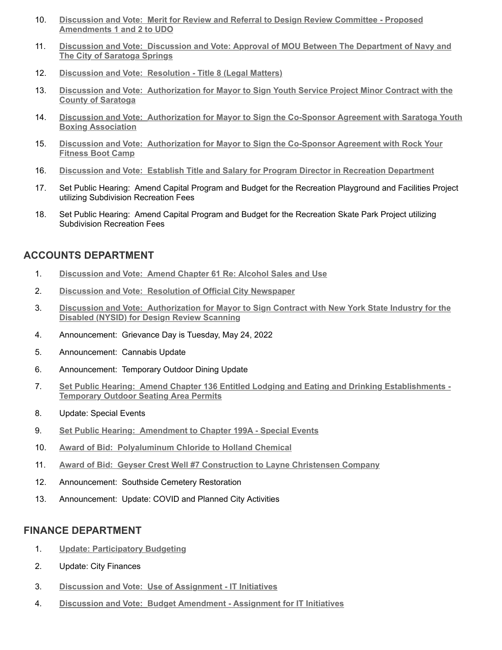- 10. **[Discussion and Vote: Merit for Review and Referral to Design Review Committee Proposed](http://agenda.saratoga-springs.org/agendainternal/Bluesheet.aspx?ItemID=19838&MeetingID=1576) Amendments 1 and 2 to UDO**
- 11. **[Discussion and Vote: Discussion and Vote: Approval of MOU Between The Department of Navy and](http://agenda.saratoga-springs.org/agendainternal/Bluesheet.aspx?ItemID=19832&MeetingID=1576) The City of Saratoga Springs**
- 12. **[Discussion and Vote: Resolution Title 8 \(Legal Matters\)](http://agenda.saratoga-springs.org/agendainternal/Bluesheet.aspx?ItemID=19860&MeetingID=1576)**
- 13. **[Discussion and Vote: Authorization for Mayor to Sign Youth Service Project Minor Contract with the](http://agenda.saratoga-springs.org/agendainternal/Bluesheet.aspx?ItemID=19792&MeetingID=1576) County of Saratoga**
- 14. **[Discussion and Vote: Authorization for Mayor to Sign the Co-Sponsor Agreement with Saratoga Youth](http://agenda.saratoga-springs.org/agendainternal/Bluesheet.aspx?ItemID=19650&MeetingID=1576) Boxing Association**
- 15. **[Discussion and Vote: Authorization for Mayor to Sign the Co-Sponsor Agreement with Rock Your](http://agenda.saratoga-springs.org/agendainternal/Bluesheet.aspx?ItemID=19790&MeetingID=1576) Fitness Boot Camp**
- 16. **[Discussion and Vote: Establish Title and Salary for Program Director in Recreation Department](http://agenda.saratoga-springs.org/agendainternal/Bluesheet.aspx?ItemID=19822&MeetingID=1576)**
- 17. Set Public Hearing: Amend Capital Program and Budget for the Recreation Playground and Facilities Project utilizing Subdivision Recreation Fees
- 18. Set Public Hearing: Amend Capital Program and Budget for the Recreation Skate Park Project utilizing Subdivision Recreation Fees

# **ACCOUNTS DEPARTMENT**

- 1. **[Discussion and Vote: Amend Chapter 61 Re: Alcohol Sales and Use](http://agenda.saratoga-springs.org/agendainternal/Bluesheet.aspx?ItemID=19811&MeetingID=1576)**
- 2. **[Discussion and Vote: Resolution of Official City Newspaper](http://agenda.saratoga-springs.org/agendainternal/Bluesheet.aspx?ItemID=19809&MeetingID=1576)**
- 3. **[Discussion and Vote: Authorization for Mayor to Sign Contract with New York State Industry for the](http://agenda.saratoga-springs.org/agendainternal/Bluesheet.aspx?ItemID=19813&MeetingID=1576) Disabled (NYSID) for Design Review Scanning**
- 4. Announcement: Grievance Day is Tuesday, May 24, 2022
- 5. Announcement: Cannabis Update
- 6. Announcement: Temporary Outdoor Dining Update
- 7. **[Set Public Hearing: Amend Chapter 136 Entitled Lodging and Eating and Drinking Establishments -](http://agenda.saratoga-springs.org/agendainternal/Bluesheet.aspx?ItemID=19845&MeetingID=1576) Temporary Outdoor Seating Area Permits**
- 8. Update: Special Events
- 9. **[Set Public Hearing: Amendment to Chapter 199A Special Events](http://agenda.saratoga-springs.org/agendainternal/Bluesheet.aspx?ItemID=19836&MeetingID=1576)**
- 10. **[Award of Bid: Polyaluminum Chloride to Holland Chemical](http://agenda.saratoga-springs.org/agendainternal/Bluesheet.aspx?ItemID=19834&MeetingID=1576)**
- 11. **[Award of Bid: Geyser Crest Well #7 Construction to Layne Christensen Company](http://agenda.saratoga-springs.org/agendainternal/Bluesheet.aspx?ItemID=19842&MeetingID=1576)**
- 12. Announcement: Southside Cemetery Restoration
- 13. Announcement: Update: COVID and Planned City Activities

#### **FINANCE DEPARTMENT**

- 1. **[Update: Participatory Budgeting](http://agenda.saratoga-springs.org/agendainternal/Bluesheet.aspx?ItemID=19844&MeetingID=1576)**
- 2. Update: City Finances
- 3. **[Discussion and Vote: Use of Assignment IT Initiatives](http://agenda.saratoga-springs.org/agendainternal/Bluesheet.aspx?ItemID=19816&MeetingID=1576)**
- 4. **[Discussion and Vote: Budget Amendment Assignment for IT Initiatives](http://agenda.saratoga-springs.org/agendainternal/Bluesheet.aspx?ItemID=19819&MeetingID=1576)**